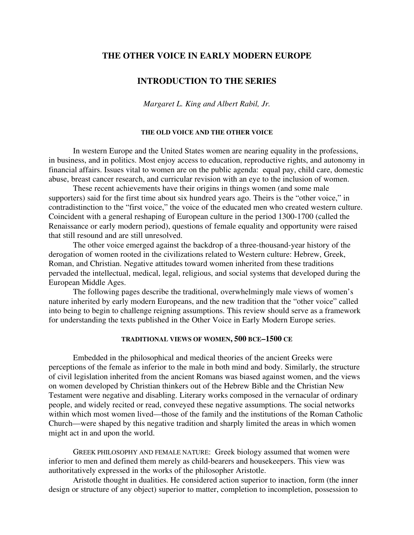# **THE OTHER VOICE IN EARLY MODERN EUROPE**

# **INTRODUCTION TO THE SERIES**

*Margaret L. King and Albert Rabil, Jr.*

#### **THE OLD VOICE AND THE OTHER VOICE**

In western Europe and the United States women are nearing equality in the professions, in business, and in politics. Most enjoy access to education, reproductive rights, and autonomy in financial affairs. Issues vital to women are on the public agenda: equal pay, child care, domestic abuse, breast cancer research, and curricular revision with an eye to the inclusion of women.

These recent achievements have their origins in things women (and some male supporters) said for the first time about six hundred years ago. Theirs is the "other voice," in contradistinction to the "first voice," the voice of the educated men who created western culture. Coincident with a general reshaping of European culture in the period 1300-1700 (called the Renaissance or early modern period), questions of female equality and opportunity were raised that still resound and are still unresolved.

The other voice emerged against the backdrop of a three-thousand-year history of the derogation of women rooted in the civilizations related to Western culture: Hebrew, Greek, Roman, and Christian. Negative attitudes toward women inherited from these traditions pervaded the intellectual, medical, legal, religious, and social systems that developed during the European Middle Ages.

The following pages describe the traditional, overwhelmingly male views of women's nature inherited by early modern Europeans, and the new tradition that the "other voice" called into being to begin to challenge reigning assumptions. This review should serve as a framework for understanding the texts published in the Other Voice in Early Modern Europe series.

## **TRADITIONAL VIEWS OF WOMEN, 500 BCE–1500 CE**

Embedded in the philosophical and medical theories of the ancient Greeks were perceptions of the female as inferior to the male in both mind and body. Similarly, the structure of civil legislation inherited from the ancient Romans was biased against women, and the views on women developed by Christian thinkers out of the Hebrew Bible and the Christian New Testament were negative and disabling. Literary works composed in the vernacular of ordinary people, and widely recited or read, conveyed these negative assumptions. The social networks within which most women lived—those of the family and the institutions of the Roman Catholic Church—were shaped by this negative tradition and sharply limited the areas in which women might act in and upon the world.

GREEK PHILOSOPHY AND FEMALE NATURE: Greek biology assumed that women were inferior to men and defined them merely as child-bearers and housekeepers. This view was authoritatively expressed in the works of the philosopher Aristotle.

Aristotle thought in dualities. He considered action superior to inaction, form (the inner design or structure of any object) superior to matter, completion to incompletion, possession to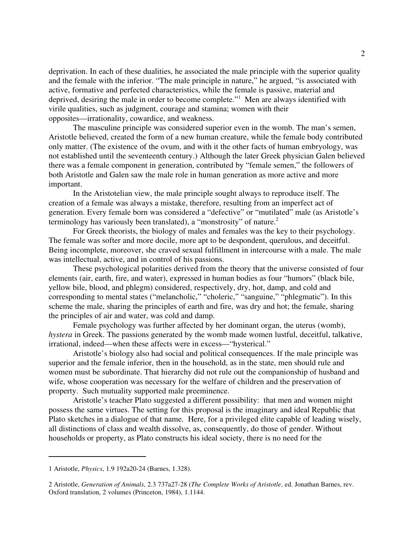deprivation. In each of these dualities, he associated the male principle with the superior quality and the female with the inferior. "The male principle in nature," he argued, "is associated with active, formative and perfected characteristics, while the female is passive, material and deprived, desiring the male in order to become complete."<sup>1</sup> Men are always identified with virile qualities, such as judgment, courage and stamina; women with their opposites—irrationality, cowardice, and weakness.

The masculine principle was considered superior even in the womb. The man's semen, Aristotle believed, created the form of a new human creature, while the female body contributed only matter. (The existence of the ovum, and with it the other facts of human embryology, was not established until the seventeenth century.) Although the later Greek physician Galen believed there was a female component in generation, contributed by "female semen," the followers of both Aristotle and Galen saw the male role in human generation as more active and more important.

In the Aristotelian view, the male principle sought always to reproduce itself. The creation of a female was always a mistake, therefore, resulting from an imperfect act of generation. Every female born was considered a "defective" or "mutilated" male (as Aristotle's terminology has variously been translated), a "monstrosity" of nature.<sup>2</sup>

For Greek theorists, the biology of males and females was the key to their psychology. The female was softer and more docile, more apt to be despondent, querulous, and deceitful. Being incomplete, moreover, she craved sexual fulfillment in intercourse with a male. The male was intellectual, active, and in control of his passions.

These psychological polarities derived from the theory that the universe consisted of four elements (air, earth, fire, and water), expressed in human bodies as four "humors" (black bile, yellow bile, blood, and phlegm) considered, respectively, dry, hot, damp, and cold and corresponding to mental states ("melancholic," "choleric," "sanguine," "phlegmatic"). In this scheme the male, sharing the principles of earth and fire, was dry and hot; the female, sharing the principles of air and water, was cold and damp.

Female psychology was further affected by her dominant organ, the uterus (womb), *hystera* in Greek. The passions generated by the womb made women lustful, deceitful, talkative, irrational, indeed—when these affects were in excess—"hysterical."

Aristotle's biology also had social and political consequences. If the male principle was superior and the female inferior, then in the household, as in the state, men should rule and women must be subordinate. That hierarchy did not rule out the companionship of husband and wife, whose cooperation was necessary for the welfare of children and the preservation of property. Such mutuality supported male preeminence.

Aristotle's teacher Plato suggested a different possibility: that men and women might possess the same virtues. The setting for this proposal is the imaginary and ideal Republic that Plato sketches in a dialogue of that name. Here, for a privileged elite capable of leading wisely, all distinctions of class and wealth dissolve, as, consequently, do those of gender. Without households or property, as Plato constructs his ideal society, there is no need for the

<sup>1</sup> Aristotle, *Physics*, 1.9 192a20-24 (Barnes, 1.328).

<sup>2</sup> Aristotle, *Generation of Animals*, 2.3 737a27-28 (*The Complete Works of Aristotle*, ed. Jonathan Barnes, rev. Oxford translation, 2 volumes (Princeton, 1984), 1.1144.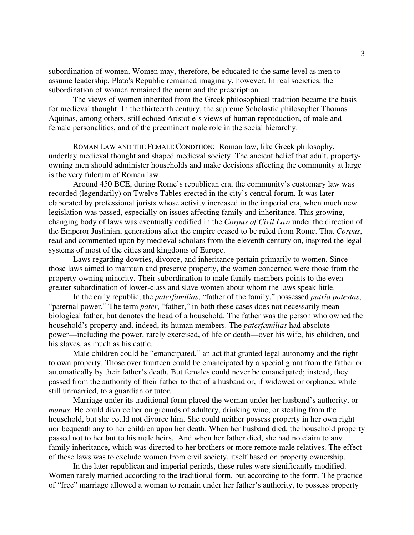subordination of women. Women may, therefore, be educated to the same level as men to assume leadership. Plato's Republic remained imaginary, however. In real societies, the subordination of women remained the norm and the prescription.

The views of women inherited from the Greek philosophical tradition became the basis for medieval thought. In the thirteenth century, the supreme Scholastic philosopher Thomas Aquinas, among others, still echoed Aristotle's views of human reproduction, of male and female personalities, and of the preeminent male role in the social hierarchy.

ROMAN LAW AND THE FEMALE CONDITION: Roman law, like Greek philosophy, underlay medieval thought and shaped medieval society. The ancient belief that adult, propertyowning men should administer households and make decisions affecting the community at large is the very fulcrum of Roman law.

Around 450 BCE, during Rome's republican era, the community's customary law was recorded (legendarily) on Twelve Tables erected in the city's central forum. It was later elaborated by professional jurists whose activity increased in the imperial era, when much new legislation was passed, especially on issues affecting family and inheritance. This growing, changing body of laws was eventually codified in the *Corpus of Civil Law* under the direction of the Emperor Justinian, generations after the empire ceased to be ruled from Rome. That *Corpus*, read and commented upon by medieval scholars from the eleventh century on, inspired the legal systems of most of the cities and kingdoms of Europe.

Laws regarding dowries, divorce, and inheritance pertain primarily to women. Since those laws aimed to maintain and preserve property, the women concerned were those from the property-owning minority. Their subordination to male family members points to the even greater subordination of lower-class and slave women about whom the laws speak little.

In the early republic, the *paterfamilias*, "father of the family," possessed *patria potestas*, "paternal power." The term *pater*, "father," in both these cases does not necessarily mean biological father, but denotes the head of a household. The father was the person who owned the household's property and, indeed, its human members. The *paterfamilias* had absolute power—including the power, rarely exercised, of life or death—over his wife, his children, and his slaves, as much as his cattle.

Male children could be "emancipated," an act that granted legal autonomy and the right to own property. Those over fourteen could be emancipated by a special grant from the father or automatically by their father's death. But females could never be emancipated; instead, they passed from the authority of their father to that of a husband or, if widowed or orphaned while still unmarried, to a guardian or tutor.

Marriage under its traditional form placed the woman under her husband's authority, or *manus*. He could divorce her on grounds of adultery, drinking wine, or stealing from the household, but she could not divorce him. She could neither possess property in her own right nor bequeath any to her children upon her death. When her husband died, the household property passed not to her but to his male heirs. And when her father died, she had no claim to any family inheritance, which was directed to her brothers or more remote male relatives. The effect of these laws was to exclude women from civil society, itself based on property ownership.

In the later republican and imperial periods, these rules were significantly modified. Women rarely married according to the traditional form, but according to the form. The practice of "free" marriage allowed a woman to remain under her father's authority, to possess property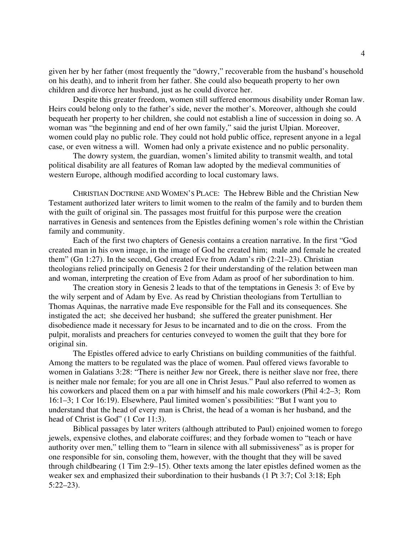given her by her father (most frequently the "dowry," recoverable from the husband's household on his death), and to inherit from her father. She could also bequeath property to her own children and divorce her husband, just as he could divorce her.

Despite this greater freedom, women still suffered enormous disability under Roman law. Heirs could belong only to the father's side, never the mother's. Moreover, although she could bequeath her property to her children, she could not establish a line of succession in doing so. A woman was "the beginning and end of her own family," said the jurist Ulpian. Moreover, women could play no public role. They could not hold public office, represent anyone in a legal case, or even witness a will. Women had only a private existence and no public personality.

The dowry system, the guardian, women's limited ability to transmit wealth, and total political disability are all features of Roman law adopted by the medieval communities of western Europe, although modified according to local customary laws.

CHRISTIAN DOCTRINE AND WOMEN'S PLACE: The Hebrew Bible and the Christian New Testament authorized later writers to limit women to the realm of the family and to burden them with the guilt of original sin. The passages most fruitful for this purpose were the creation narratives in Genesis and sentences from the Epistles defining women's role within the Christian family and community.

Each of the first two chapters of Genesis contains a creation narrative. In the first "God created man in his own image, in the image of God he created him; male and female he created them" (Gn 1:27). In the second, God created Eve from Adam's rib (2:21–23). Christian theologians relied principally on Genesis 2 for their understanding of the relation between man and woman, interpreting the creation of Eve from Adam as proof of her subordination to him.

The creation story in Genesis 2 leads to that of the temptations in Genesis 3: of Eve by the wily serpent and of Adam by Eve. As read by Christian theologians from Tertullian to Thomas Aquinas, the narrative made Eve responsible for the Fall and its consequences. She instigated the act; she deceived her husband; she suffered the greater punishment. Her disobedience made it necessary for Jesus to be incarnated and to die on the cross. From the pulpit, moralists and preachers for centuries conveyed to women the guilt that they bore for original sin.

The Epistles offered advice to early Christians on building communities of the faithful. Among the matters to be regulated was the place of women. Paul offered views favorable to women in Galatians 3:28: "There is neither Jew nor Greek, there is neither slave nor free, there is neither male nor female; for you are all one in Christ Jesus." Paul also referred to women as his coworkers and placed them on a par with himself and his male coworkers (Phil 4:2–3; Rom 16:1–3; 1 Cor 16:19). Elsewhere, Paul limited women's possibilities: "But I want you to understand that the head of every man is Christ, the head of a woman is her husband, and the head of Christ is God" (1 Cor 11:3).

Biblical passages by later writers (although attributed to Paul) enjoined women to forego jewels, expensive clothes, and elaborate coiffures; and they forbade women to "teach or have authority over men," telling them to "learn in silence with all submissiveness" as is proper for one responsible for sin, consoling them, however, with the thought that they will be saved through childbearing (1 Tim 2:9–15). Other texts among the later epistles defined women as the weaker sex and emphasized their subordination to their husbands (1 Pt 3:7; Col 3:18; Eph 5:22–23).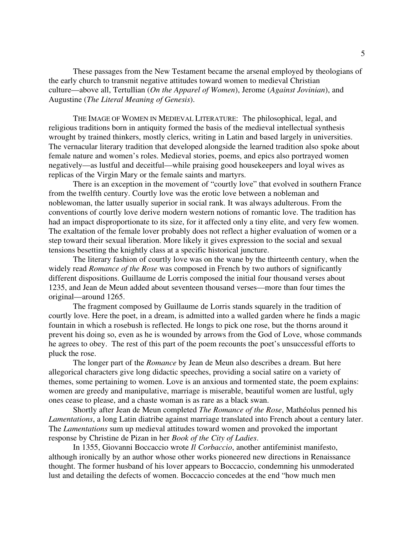These passages from the New Testament became the arsenal employed by theologians of the early church to transmit negative attitudes toward women to medieval Christian culture—above all, Tertullian (*On the Apparel of Women*), Jerome (*Against Jovinian*), and Augustine (*The Literal Meaning of Genesis*).

THE IMAGE OF WOMEN IN MEDIEVAL LITERATURE: The philosophical, legal, and religious traditions born in antiquity formed the basis of the medieval intellectual synthesis wrought by trained thinkers, mostly clerics, writing in Latin and based largely in universities. The vernacular literary tradition that developed alongside the learned tradition also spoke about female nature and women's roles. Medieval stories, poems, and epics also portrayed women negatively—as lustful and deceitful—while praising good housekeepers and loyal wives as replicas of the Virgin Mary or the female saints and martyrs.

There is an exception in the movement of "courtly love" that evolved in southern France from the twelfth century. Courtly love was the erotic love between a nobleman and noblewoman, the latter usually superior in social rank. It was always adulterous. From the conventions of courtly love derive modern western notions of romantic love. The tradition has had an impact disproportionate to its size, for it affected only a tiny elite, and very few women. The exaltation of the female lover probably does not reflect a higher evaluation of women or a step toward their sexual liberation. More likely it gives expression to the social and sexual tensions besetting the knightly class at a specific historical juncture.

The literary fashion of courtly love was on the wane by the thirteenth century, when the widely read *Romance of the Rose* was composed in French by two authors of significantly different dispositions. Guillaume de Lorris composed the initial four thousand verses about 1235, and Jean de Meun added about seventeen thousand verses—more than four times the original—around 1265.

The fragment composed by Guillaume de Lorris stands squarely in the tradition of courtly love. Here the poet, in a dream, is admitted into a walled garden where he finds a magic fountain in which a rosebush is reflected. He longs to pick one rose, but the thorns around it prevent his doing so, even as he is wounded by arrows from the God of Love, whose commands he agrees to obey. The rest of this part of the poem recounts the poet's unsuccessful efforts to pluck the rose.

The longer part of the *Romance* by Jean de Meun also describes a dream. But here allegorical characters give long didactic speeches, providing a social satire on a variety of themes, some pertaining to women. Love is an anxious and tormented state, the poem explains: women are greedy and manipulative, marriage is miserable, beautiful women are lustful, ugly ones cease to please, and a chaste woman is as rare as a black swan.

Shortly after Jean de Meun completed *The Romance of the Rose*, Mathéolus penned his *Lamentations*, a long Latin diatribe against marriage translated into French about a century later. The *Lamentations* sum up medieval attitudes toward women and provoked the important response by Christine de Pizan in her *Book of the City of Ladies*.

In 1355, Giovanni Boccaccio wrote *Il Corbaccio*, another antifeminist manifesto, although ironically by an author whose other works pioneered new directions in Renaissance thought. The former husband of his lover appears to Boccaccio, condemning his unmoderated lust and detailing the defects of women. Boccaccio concedes at the end "how much men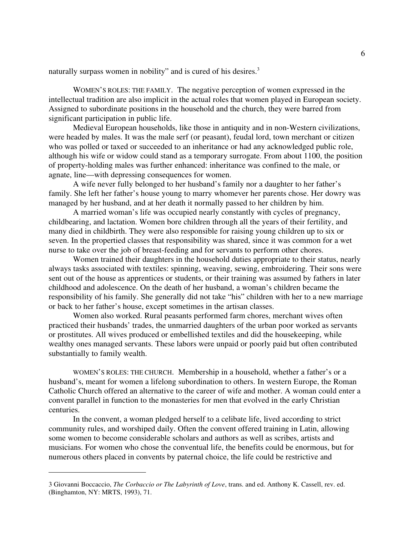naturally surpass women in nobility" and is cured of his desires.<sup>3</sup>

WOMEN'S ROLES: THE FAMILY. The negative perception of women expressed in the intellectual tradition are also implicit in the actual roles that women played in European society. Assigned to subordinate positions in the household and the church, they were barred from significant participation in public life.

Medieval European households, like those in antiquity and in non-Western civilizations, were headed by males. It was the male serf (or peasant), feudal lord, town merchant or citizen who was polled or taxed or succeeded to an inheritance or had any acknowledged public role, although his wife or widow could stand as a temporary surrogate. From about 1100, the position of property-holding males was further enhanced: inheritance was confined to the male, or agnate, line—with depressing consequences for women.

A wife never fully belonged to her husband's family nor a daughter to her father's family. She left her father's house young to marry whomever her parents chose. Her dowry was managed by her husband, and at her death it normally passed to her children by him.

A married woman's life was occupied nearly constantly with cycles of pregnancy, childbearing, and lactation. Women bore children through all the years of their fertility, and many died in childbirth. They were also responsible for raising young children up to six or seven. In the propertied classes that responsibility was shared, since it was common for a wet nurse to take over the job of breast-feeding and for servants to perform other chores.

Women trained their daughters in the household duties appropriate to their status, nearly always tasks associated with textiles: spinning, weaving, sewing, embroidering. Their sons were sent out of the house as apprentices or students, or their training was assumed by fathers in later childhood and adolescence. On the death of her husband, a woman's children became the responsibility of his family. She generally did not take "his" children with her to a new marriage or back to her father's house, except sometimes in the artisan classes.

Women also worked. Rural peasants performed farm chores, merchant wives often practiced their husbands' trades, the unmarried daughters of the urban poor worked as servants or prostitutes. All wives produced or embellished textiles and did the housekeeping, while wealthy ones managed servants. These labors were unpaid or poorly paid but often contributed substantially to family wealth.

WOMEN'S ROLES: THE CHURCH. Membership in a household, whether a father's or a husband's, meant for women a lifelong subordination to others. In western Europe, the Roman Catholic Church offered an alternative to the career of wife and mother. A woman could enter a convent parallel in function to the monasteries for men that evolved in the early Christian centuries.

In the convent, a woman pledged herself to a celibate life, lived according to strict community rules, and worshiped daily. Often the convent offered training in Latin, allowing some women to become considerable scholars and authors as well as scribes, artists and musicians. For women who chose the conventual life, the benefits could be enormous, but for numerous others placed in convents by paternal choice, the life could be restrictive and

<sup>3</sup> Giovanni Boccaccio, *The Corbaccio or The Labyrinth of Love*, trans. and ed. Anthony K. Cassell, rev. ed. (Binghamton, NY: MRTS, 1993), 71.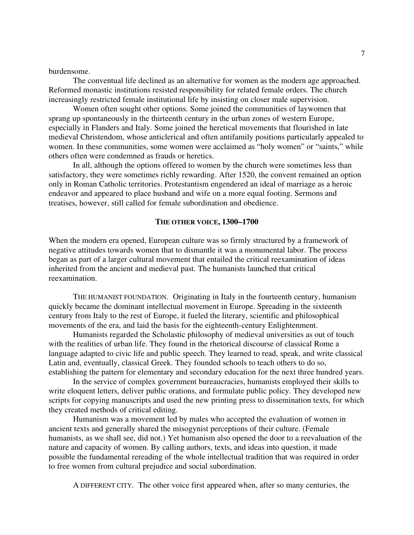burdensome.

The conventual life declined as an alternative for women as the modern age approached. Reformed monastic institutions resisted responsibility for related female orders. The church increasingly restricted female institutional life by insisting on closer male supervision.

Women often sought other options. Some joined the communities of laywomen that sprang up spontaneously in the thirteenth century in the urban zones of western Europe, especially in Flanders and Italy. Some joined the heretical movements that flourished in late medieval Christendom, whose anticlerical and often antifamily positions particularly appealed to women. In these communities, some women were acclaimed as "holy women" or "saints," while others often were condemned as frauds or heretics.

In all, although the options offered to women by the church were sometimes less than satisfactory, they were sometimes richly rewarding. After 1520, the convent remained an option only in Roman Catholic territories. Protestantism engendered an ideal of marriage as a heroic endeavor and appeared to place husband and wife on a more equal footing. Sermons and treatises, however, still called for female subordination and obedience.

## **THE OTHER VOICE, 1300–1700**

When the modern era opened, European culture was so firmly structured by a framework of negative attitudes towards women that to dismantle it was a monumental labor. The process began as part of a larger cultural movement that entailed the critical reexamination of ideas inherited from the ancient and medieval past. The humanists launched that critical reexamination.

THE HUMANIST FOUNDATION. Originating in Italy in the fourteenth century, humanism quickly became the dominant intellectual movement in Europe. Spreading in the sixteenth century from Italy to the rest of Europe, it fueled the literary, scientific and philosophical movements of the era, and laid the basis for the eighteenth-century Enlightenment.

Humanists regarded the Scholastic philosophy of medieval universities as out of touch with the realities of urban life. They found in the rhetorical discourse of classical Rome a language adapted to civic life and public speech. They learned to read, speak, and write classical Latin and, eventually, classical Greek. They founded schools to teach others to do so, establishing the pattern for elementary and secondary education for the next three hundred years.

In the service of complex government bureaucracies, humanists employed their skills to write eloquent letters, deliver public orations, and formulate public policy. They developed new scripts for copying manuscripts and used the new printing press to dissemination texts, for which they created methods of critical editing.

Humanism was a movement led by males who accepted the evaluation of women in ancient texts and generally shared the misogynist perceptions of their culture. (Female humanists, as we shall see, did not.) Yet humanism also opened the door to a reevaluation of the nature and capacity of women. By calling authors, texts, and ideas into question, it made possible the fundamental rereading of the whole intellectual tradition that was required in order to free women from cultural prejudice and social subordination.

A DIFFERENT CITY. The other voice first appeared when, after so many centuries, the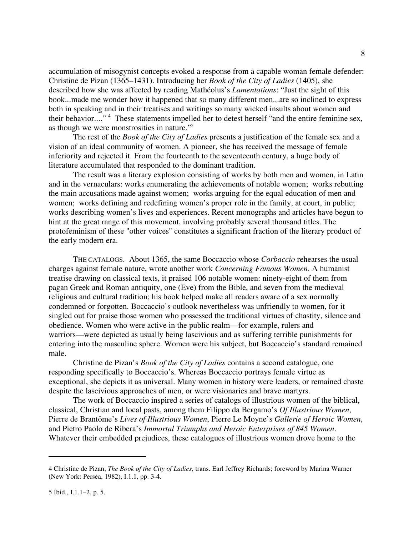accumulation of misogynist concepts evoked a response from a capable woman female defender: Christine de Pizan (1365–1431). Introducing her *Book of the City of Ladies* (1405), she described how she was affected by reading Mathéolus's *Lamentations*: "Just the sight of this book...made me wonder how it happened that so many different men...are so inclined to express both in speaking and in their treatises and writings so many wicked insults about women and their behavior...."<sup>4</sup> These statements impelled her to detest herself "and the entire feminine sex, as though we were monstrosities in nature."<sup>5</sup>

The rest of the *Book of the City of Ladies* presents a justification of the female sex and a vision of an ideal community of women. A pioneer, she has received the message of female inferiority and rejected it. From the fourteenth to the seventeenth century, a huge body of literature accumulated that responded to the dominant tradition.

The result was a literary explosion consisting of works by both men and women, in Latin and in the vernaculars: works enumerating the achievements of notable women; works rebutting the main accusations made against women; works arguing for the equal education of men and women; works defining and redefining women's proper role in the family, at court, in public; works describing women's lives and experiences. Recent monographs and articles have begun to hint at the great range of this movement, involving probably several thousand titles. The protofeminism of these "other voices" constitutes a significant fraction of the literary product of the early modern era.

THE CATALOGS. About 1365, the same Boccaccio whose *Corbaccio* rehearses the usual charges against female nature, wrote another work *Concerning Famous Women*. A humanist treatise drawing on classical texts, it praised 106 notable women: ninety-eight of them from pagan Greek and Roman antiquity, one (Eve) from the Bible, and seven from the medieval religious and cultural tradition; his book helped make all readers aware of a sex normally condemned or forgotten. Boccaccio's outlook nevertheless was unfriendly to women, for it singled out for praise those women who possessed the traditional virtues of chastity, silence and obedience. Women who were active in the public realm—for example, rulers and warriors—were depicted as usually being lascivious and as suffering terrible punishments for entering into the masculine sphere. Women were his subject, but Boccaccio's standard remained male.

Christine de Pizan's *Book of the City of Ladies* contains a second catalogue, one responding specifically to Boccaccio's. Whereas Boccaccio portrays female virtue as exceptional, she depicts it as universal. Many women in history were leaders, or remained chaste despite the lascivious approaches of men, or were visionaries and brave martyrs.

The work of Boccaccio inspired a series of catalogs of illustrious women of the biblical, classical, Christian and local pasts, among them Filippo da Bergamo's *Of Illustrious Women*, Pierre de Brantôme's *Lives of Illustrious Women*, Pierre Le Moyne's *Gallerie of Heroic Women*, and Pietro Paolo de Ribera's *Immortal Triumphs and Heroic Enterprises of 845 Women*. Whatever their embedded prejudices, these catalogues of illustrious women drove home to the

<sup>4</sup> Christine de Pizan, *The Book of the City of Ladies*, trans. Earl Jeffrey Richards; foreword by Marina Warner (New York: Persea, 1982), I.1.1, pp. 3-4.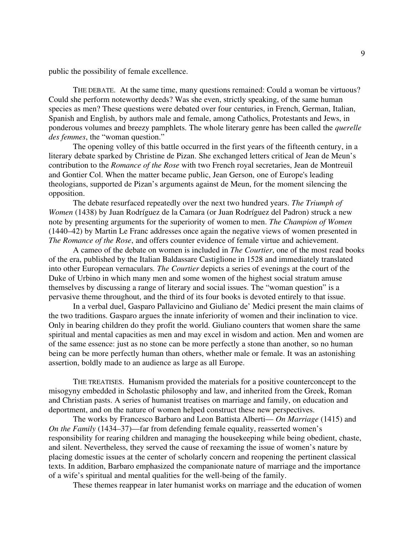public the possibility of female excellence.

THE DEBATE. At the same time, many questions remained: Could a woman be virtuous? Could she perform noteworthy deeds? Was she even, strictly speaking, of the same human species as men? These questions were debated over four centuries, in French, German, Italian, Spanish and English, by authors male and female, among Catholics, Protestants and Jews, in ponderous volumes and breezy pamphlets. The whole literary genre has been called the *querelle des femmes*, the "woman question."

The opening volley of this battle occurred in the first years of the fifteenth century, in a literary debate sparked by Christine de Pizan. She exchanged letters critical of Jean de Meun's contribution to the *Romance of the Rose* with two French royal secretaries, Jean de Montreuil and Gontier Col. When the matter became public, Jean Gerson, one of Europe's leading theologians, supported de Pizan's arguments against de Meun, for the moment silencing the opposition.

The debate resurfaced repeatedly over the next two hundred years. *The Triumph of Women* (1438) by Juan Rodríguez de la Camara (or Juan Rodríguez del Padron) struck a new note by presenting arguments for the superiority of women to men. *The Champion of Women* (1440–42) by Martin Le Franc addresses once again the negative views of women presented in *The Romance of the Rose*, and offers counter evidence of female virtue and achievement.

A cameo of the debate on women is included in *The Courtier*, one of the most read books of the era, published by the Italian Baldassare Castiglione in 1528 and immediately translated into other European vernaculars. *The Courtier* depicts a series of evenings at the court of the Duke of Urbino in which many men and some women of the highest social stratum amuse themselves by discussing a range of literary and social issues. The "woman question" is a pervasive theme throughout, and the third of its four books is devoted entirely to that issue.

In a verbal duel, Gasparo Pallavicino and Giuliano de' Medici present the main claims of the two traditions. Gasparo argues the innate inferiority of women and their inclination to vice. Only in bearing children do they profit the world. Giuliano counters that women share the same spiritual and mental capacities as men and may excel in wisdom and action. Men and women are of the same essence: just as no stone can be more perfectly a stone than another, so no human being can be more perfectly human than others, whether male or female. It was an astonishing assertion, boldly made to an audience as large as all Europe.

THE TREATISES. Humanism provided the materials for a positive counterconcept to the misogyny embedded in Scholastic philosophy and law, and inherited from the Greek, Roman and Christian pasts. A series of humanist treatises on marriage and family, on education and deportment, and on the nature of women helped construct these new perspectives.

The works by Francesco Barbaro and Leon Battista Alberti— *On Marriage* (1415) and *On the Family* (1434–37)—far from defending female equality, reasserted women's responsibility for rearing children and managing the housekeeping while being obedient, chaste, and silent. Nevertheless, they served the cause of reexaming the issue of women's nature by placing domestic issues at the center of scholarly concern and reopening the pertinent classical texts. In addition, Barbaro emphasized the companionate nature of marriage and the importance of a wife's spiritual and mental qualities for the well-being of the family.

These themes reappear in later humanist works on marriage and the education of women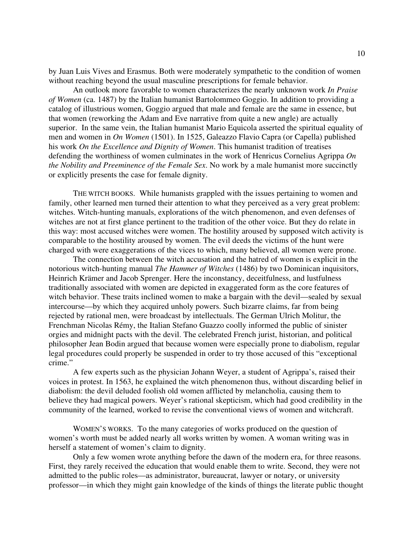by Juan Luis Vives and Erasmus. Both were moderately sympathetic to the condition of women without reaching beyond the usual masculine prescriptions for female behavior.

An outlook more favorable to women characterizes the nearly unknown work *In Praise of Women* (ca. 1487) by the Italian humanist Bartolommeo Goggio. In addition to providing a catalog of illustrious women, Goggio argued that male and female are the same in essence, but that women (reworking the Adam and Eve narrative from quite a new angle) are actually superior. In the same vein, the Italian humanist Mario Equicola asserted the spiritual equality of men and women in *On Women* (1501). In 1525, Galeazzo Flavio Capra (or Capella) published his work *On the Excellence and Dignity of Women*. This humanist tradition of treatises defending the worthiness of women culminates in the work of Henricus Cornelius Agrippa *On the Nobility and Preeminence of the Female Sex*. No work by a male humanist more succinctly or explicitly presents the case for female dignity.

THE WITCH BOOKS. While humanists grappled with the issues pertaining to women and family, other learned men turned their attention to what they perceived as a very great problem: witches. Witch-hunting manuals, explorations of the witch phenomenon, and even defenses of witches are not at first glance pertinent to the tradition of the other voice. But they do relate in this way: most accused witches were women. The hostility aroused by supposed witch activity is comparable to the hostility aroused by women. The evil deeds the victims of the hunt were charged with were exaggerations of the vices to which, many believed, all women were prone.

The connection between the witch accusation and the hatred of women is explicit in the notorious witch-hunting manual *The Hammer of Witches* (1486) by two Dominican inquisitors, Heinrich Krämer and Jacob Sprenger. Here the inconstancy, deceitfulness, and lustfulness traditionally associated with women are depicted in exaggerated form as the core features of witch behavior. These traits inclined women to make a bargain with the devil—sealed by sexual intercourse—by which they acquired unholy powers. Such bizarre claims, far from being rejected by rational men, were broadcast by intellectuals. The German Ulrich Molitur, the Frenchman Nicolas Rémy, the Italian Stefano Guazzo coolly informed the public of sinister orgies and midnight pacts with the devil. The celebrated French jurist, historian, and political philosopher Jean Bodin argued that because women were especially prone to diabolism, regular legal procedures could properly be suspended in order to try those accused of this "exceptional crime."

A few experts such as the physician Johann Weyer, a student of Agrippa's, raised their voices in protest. In 1563, he explained the witch phenomenon thus, without discarding belief in diabolism: the devil deluded foolish old women afflicted by melancholia, causing them to believe they had magical powers. Weyer's rational skepticism, which had good credibility in the community of the learned, worked to revise the conventional views of women and witchcraft.

WOMEN'S WORKS. To the many categories of works produced on the question of women's worth must be added nearly all works written by women. A woman writing was in herself a statement of women's claim to dignity.

Only a few women wrote anything before the dawn of the modern era, for three reasons. First, they rarely received the education that would enable them to write. Second, they were not admitted to the public roles—as administrator, bureaucrat, lawyer or notary, or university professor—in which they might gain knowledge of the kinds of things the literate public thought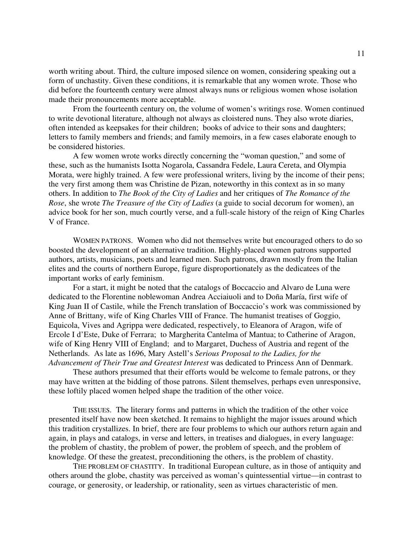worth writing about. Third, the culture imposed silence on women, considering speaking out a form of unchastity. Given these conditions, it is remarkable that any women wrote. Those who did before the fourteenth century were almost always nuns or religious women whose isolation made their pronouncements more acceptable.

From the fourteenth century on, the volume of women's writings rose. Women continued to write devotional literature, although not always as cloistered nuns. They also wrote diaries, often intended as keepsakes for their children; books of advice to their sons and daughters; letters to family members and friends; and family memoirs, in a few cases elaborate enough to be considered histories.

A few women wrote works directly concerning the "woman question," and some of these, such as the humanists Isotta Nogarola, Cassandra Fedele, Laura Cereta, and Olympia Morata, were highly trained. A few were professional writers, living by the income of their pens; the very first among them was Christine de Pizan, noteworthy in this context as in so many others. In addition to *The Book of the City of Ladies* and her critiques of *The Romance of the Rose*, she wrote *The Treasure of the City of Ladies* (a guide to social decorum for women), an advice book for her son, much courtly verse, and a full-scale history of the reign of King Charles V of France.

WOMEN PATRONS. Women who did not themselves write but encouraged others to do so boosted the development of an alternative tradition. Highly-placed women patrons supported authors, artists, musicians, poets and learned men. Such patrons, drawn mostly from the Italian elites and the courts of northern Europe, figure disproportionately as the dedicatees of the important works of early feminism.

For a start, it might be noted that the catalogs of Boccaccio and Alvaro de Luna were dedicated to the Florentine noblewoman Andrea Acciaiuoli and to Doña María, first wife of King Juan II of Castile, while the French translation of Boccaccio's work was commissioned by Anne of Brittany, wife of King Charles VIII of France. The humanist treatises of Goggio, Equicola, Vives and Agrippa were dedicated, respectively, to Eleanora of Aragon, wife of Ercole I d'Este, Duke of Ferrara; to Margherita Cantelma of Mantua; to Catherine of Aragon, wife of King Henry VIII of England; and to Margaret, Duchess of Austria and regent of the Netherlands. As late as 1696, Mary Astell's *Serious Proposal to the Ladies, for the Advancement of Their True and Greatest Interest* was dedicated to Princess Ann of Denmark.

These authors presumed that their efforts would be welcome to female patrons, or they may have written at the bidding of those patrons. Silent themselves, perhaps even unresponsive, these loftily placed women helped shape the tradition of the other voice.

THE ISSUES. The literary forms and patterns in which the tradition of the other voice presented itself have now been sketched. It remains to highlight the major issues around which this tradition crystallizes. In brief, there are four problems to which our authors return again and again, in plays and catalogs, in verse and letters, in treatises and dialogues, in every language: the problem of chastity, the problem of power, the problem of speech, and the problem of knowledge. Of these the greatest, preconditioning the others, is the problem of chastity.

THE PROBLEM OF CHASTITY. In traditional European culture, as in those of antiquity and others around the globe, chastity was perceived as woman's quintessential virtue—in contrast to courage, or generosity, or leadership, or rationality, seen as virtues characteristic of men.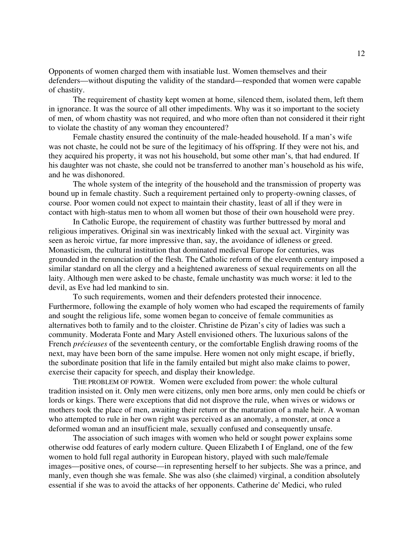Opponents of women charged them with insatiable lust. Women themselves and their defenders—without disputing the validity of the standard—responded that women were capable of chastity.

The requirement of chastity kept women at home, silenced them, isolated them, left them in ignorance. It was the source of all other impediments. Why was it so important to the society of men, of whom chastity was not required, and who more often than not considered it their right to violate the chastity of any woman they encountered?

Female chastity ensured the continuity of the male-headed household. If a man's wife was not chaste, he could not be sure of the legitimacy of his offspring. If they were not his, and they acquired his property, it was not his household, but some other man's, that had endured. If his daughter was not chaste, she could not be transferred to another man's household as his wife, and he was dishonored.

The whole system of the integrity of the household and the transmission of property was bound up in female chastity. Such a requirement pertained only to property-owning classes, of course. Poor women could not expect to maintain their chastity, least of all if they were in contact with high-status men to whom all women but those of their own household were prey.

In Catholic Europe, the requirement of chastity was further buttressed by moral and religious imperatives. Original sin was inextricably linked with the sexual act. Virginity was seen as heroic virtue, far more impressive than, say, the avoidance of idleness or greed. Monasticism, the cultural institution that dominated medieval Europe for centuries, was grounded in the renunciation of the flesh. The Catholic reform of the eleventh century imposed a similar standard on all the clergy and a heightened awareness of sexual requirements on all the laity. Although men were asked to be chaste, female unchastity was much worse: it led to the devil, as Eve had led mankind to sin.

To such requirements, women and their defenders protested their innocence. Furthermore, following the example of holy women who had escaped the requirements of family and sought the religious life, some women began to conceive of female communities as alternatives both to family and to the cloister. Christine de Pizan's city of ladies was such a community. Moderata Fonte and Mary Astell envisioned others. The luxurious salons of the French *précieuses* of the seventeenth century, or the comfortable English drawing rooms of the next, may have been born of the same impulse. Here women not only might escape, if briefly, the subordinate position that life in the family entailed but might also make claims to power, exercise their capacity for speech, and display their knowledge.

THE PROBLEM OF POWER. Women were excluded from power: the whole cultural tradition insisted on it. Only men were citizens, only men bore arms, only men could be chiefs or lords or kings. There were exceptions that did not disprove the rule, when wives or widows or mothers took the place of men, awaiting their return or the maturation of a male heir. A woman who attempted to rule in her own right was perceived as an anomaly, a monster, at once a deformed woman and an insufficient male, sexually confused and consequently unsafe.

The association of such images with women who held or sought power explains some otherwise odd features of early modern culture. Queen Elizabeth I of England, one of the few women to hold full regal authority in European history, played with such male/female images—positive ones, of course—in representing herself to her subjects. She was a prince, and manly, even though she was female. She was also (she claimed) virginal, a condition absolutely essential if she was to avoid the attacks of her opponents. Catherine de' Medici, who ruled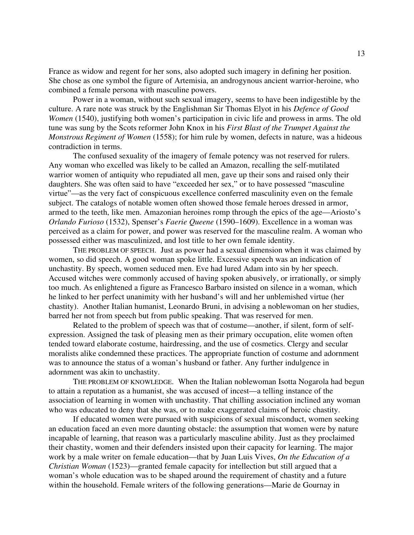France as widow and regent for her sons, also adopted such imagery in defining her position. She chose as one symbol the figure of Artemisia, an androgynous ancient warrior-heroine, who combined a female persona with masculine powers.

Power in a woman, without such sexual imagery, seems to have been indigestible by the culture. A rare note was struck by the Englishman Sir Thomas Elyot in his *Defence of Good Women* (1540), justifying both women's participation in civic life and prowess in arms. The old tune was sung by the Scots reformer John Knox in his *First Blast of the Trumpet Against the Monstrous Regiment of Women* (1558); for him rule by women, defects in nature, was a hideous contradiction in terms.

The confused sexuality of the imagery of female potency was not reserved for rulers. Any woman who excelled was likely to be called an Amazon, recalling the self-mutilated warrior women of antiquity who repudiated all men, gave up their sons and raised only their daughters. She was often said to have "exceeded her sex," or to have possessed "masculine virtue"—as the very fact of conspicuous excellence conferred masculinity even on the female subject. The catalogs of notable women often showed those female heroes dressed in armor, armed to the teeth, like men. Amazonian heroines romp through the epics of the age—Ariosto's *Orlando Furioso* (1532), Spenser's *Faerie Queene* (1590–1609). Excellence in a woman was perceived as a claim for power, and power was reserved for the masculine realm. A woman who possessed either was masculinized, and lost title to her own female identity.

THE PROBLEM OF SPEECH. Just as power had a sexual dimension when it was claimed by women, so did speech. A good woman spoke little. Excessive speech was an indication of unchastity. By speech, women seduced men. Eve had lured Adam into sin by her speech. Accused witches were commonly accused of having spoken abusively, or irrationally, or simply too much. As enlightened a figure as Francesco Barbaro insisted on silence in a woman, which he linked to her perfect unanimity with her husband's will and her unblemished virtue (her chastity). Another Italian humanist, Leonardo Bruni, in advising a noblewoman on her studies, barred her not from speech but from public speaking. That was reserved for men.

Related to the problem of speech was that of costume—another, if silent, form of selfexpression. Assigned the task of pleasing men as their primary occupation, elite women often tended toward elaborate costume, hairdressing, and the use of cosmetics. Clergy and secular moralists alike condemned these practices. The appropriate function of costume and adornment was to announce the status of a woman's husband or father. Any further indulgence in adornment was akin to unchastity.

THE PROBLEM OF KNOWLEDGE. When the Italian noblewoman Isotta Nogarola had begun to attain a reputation as a humanist, she was accused of incest—a telling instance of the association of learning in women with unchastity. That chilling association inclined any woman who was educated to deny that she was, or to make exaggerated claims of heroic chastity.

If educated women were pursued with suspicions of sexual misconduct, women seeking an education faced an even more daunting obstacle: the assumption that women were by nature incapable of learning, that reason was a particularly masculine ability. Just as they proclaimed their chastity, women and their defenders insisted upon their capacity for learning. The major work by a male writer on female education—that by Juan Luis Vives, *On the Education of a Christian Woman* (1523)—granted female capacity for intellection but still argued that a woman's whole education was to be shaped around the requirement of chastity and a future within the household. Female writers of the following generations—Marie de Gournay in